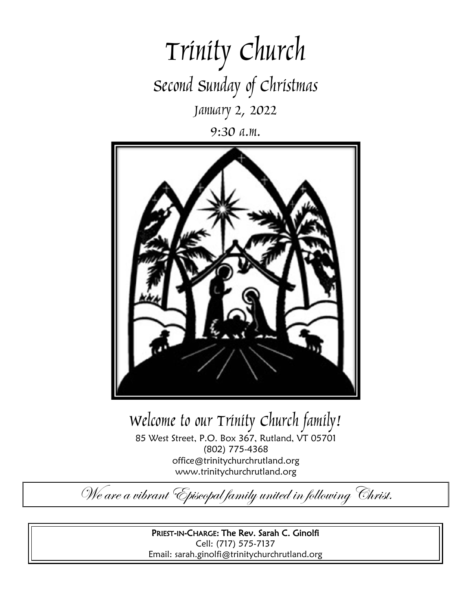# Trinity Church Second Sunday of Christmas January 2, 2022

9:30 a.m.



Welcome to our Trinity Church family! 85 West Street, P.O. Box 367, Rutland, VT 05701 (802) 775-4368

office@trinitychurchrutland.org www.trinitychurchrutland.org

We are a vibrant Episcopal family united in following Christ.

PRIEST-IN-CHARGE: The Rev. Sarah C. Ginolfi Cell: (717) 575-7137 Email: sarah.ginolfi@trinitychurchrutland.org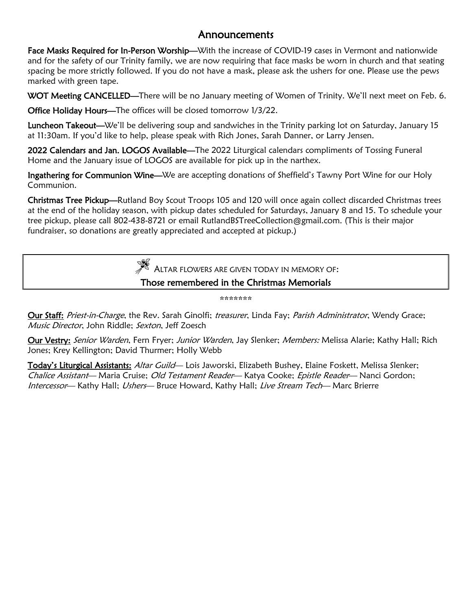#### Announcements

Face Masks Required for In-Person Worship—With the increase of COVID-19 cases in Vermont and nationwide and for the safety of our Trinity family, we are now requiring that face masks be worn in church and that seating spacing be more strictly followed. If you do not have a mask, please ask the ushers for one. Please use the pews marked with green tape.

WOT Meeting CANCELLED—There will be no January meeting of Women of Trinity. We'll next meet on Feb. 6.

Office Holiday Hours—The offices will be closed tomorrow 1/3/22.

Luncheon Takeout—We'll be delivering soup and sandwiches in the Trinity parking lot on Saturday, January 15 at 11:30am. If you'd like to help, please speak with Rich Jones, Sarah Danner, or Larry Jensen.

2022 Calendars and Jan. LOGOS Available—The 2022 Liturgical calendars compliments of Tossing Funeral Home and the January issue of LOGOS are available for pick up in the narthex.

Ingathering for Communion Wine—We are accepting donations of Sheffield's Tawny Port Wine for our Holy Communion.

Christmas Tree Pickup—Rutland Boy Scout Troops 105 and 120 will once again collect discarded Christmas trees at the end of the holiday season, with pickup dates scheduled for Saturdays, January 8 and 15. To schedule your tree pickup, please call 802-438-8721 or email RutlandBSTreeCollection@gmail.com. (This is their major fundraiser, so donations are greatly appreciated and accepted at pickup.)

<sup>A</sup>LTAR FLOWERS ARE GIVEN TODAY IN MEMORY OF:

#### Those remembered in the Christmas Memorials

\*\*\*\*\*\*\*

Our Staff: Priest-in-Charge, the Rev. Sarah Ginolfi; treasurer, Linda Fay; Parish Administrator, Wendy Grace; Music Director, John Riddle: Sexton, Jeff Zoesch

Our Vestry: Senior Warden, Fern Fryer; Junior Warden, Jay Slenker; Members: Melissa Alarie; Kathy Hall; Rich Jones; Krey Kellington; David Thurmer; Holly Webb

Today's Liturgical Assistants: Altar Guild— Lois Jaworski, Elizabeth Bushey, Elaine Foskett, Melissa Slenker; Chalice Assistant— Maria Cruise; Old Testament Reader— Katya Cooke; Epistle Reader— Nanci Gordon; Intercessor— Kathy Hall; Ushers— Bruce Howard, Kathy Hall; Live Stream Tech— Marc Brierre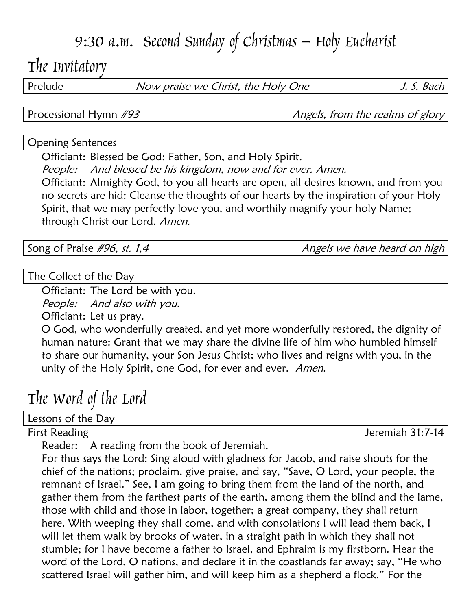## 9:30 a.m. Second Sunday of Christmas – Holy Eucharist

### The Invitatory

Prelude Mow praise we Christ, the Holy One J. S. Bach

Processional Hymn #93 Angels, from the realms of glory

#### Opening Sentences

Officiant: Blessed be God: Father, Son, and Holy Spirit.

People: And blessed be his kingdom, now and for ever. Amen.

Officiant: Almighty God, to you all hearts are open, all desires known, and from you no secrets are hid: Cleanse the thoughts of our hearts by the inspiration of your Holy Spirit, that we may perfectly love you, and worthily magnify your holy Name; through Christ our Lord. Amen.

Song of Praise #96, st. 1,4 Angels we have heard on high

The Collect of the Day

Officiant: The Lord be with you.

People: And also with you.

Officiant: Let us pray.

O God, who wonderfully created, and yet more wonderfully restored, the dignity of human nature: Grant that we may share the divine life of him who humbled himself to share our humanity, your Son Jesus Christ; who lives and reigns with you, in the unity of the Holy Spirit, one God, for ever and ever. Amen.

### The Word of the Lord

Lessons of the Day

First Reading Jeremiah 31:7-14

Reader: A reading from the book of Jeremiah.

For thus says the Lord: Sing aloud with gladness for Jacob, and raise shouts for the chief of the nations; proclaim, give praise, and say, "Save, O Lord, your people, the remnant of Israel." See, I am going to bring them from the land of the north, and gather them from the farthest parts of the earth, among them the blind and the lame, those with child and those in labor, together; a great company, they shall return here. With weeping they shall come, and with consolations I will lead them back, I will let them walk by brooks of water, in a straight path in which they shall not stumble; for I have become a father to Israel, and Ephraim is my firstborn. Hear the word of the Lord, O nations, and declare it in the coastlands far away; say, "He who scattered Israel will gather him, and will keep him as a shepherd a flock." For the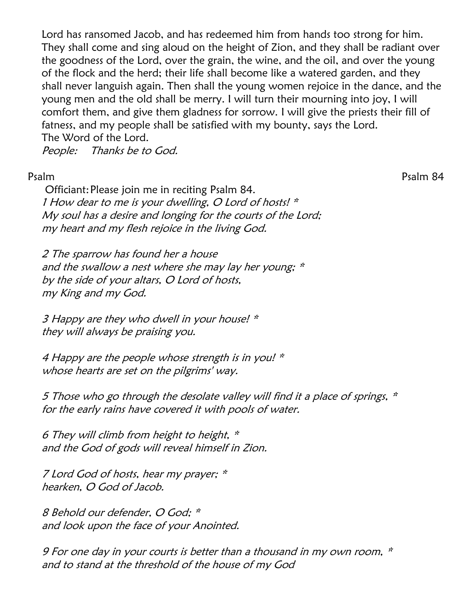Lord has ransomed Jacob, and has redeemed him from hands too strong for him. They shall come and sing aloud on the height of Zion, and they shall be radiant over the goodness of the Lord, over the grain, the wine, and the oil, and over the young of the flock and the herd; their life shall become like a watered garden, and they shall never languish again. Then shall the young women rejoice in the dance, and the young men and the old shall be merry. I will turn their mourning into joy, I will comfort them, and give them gladness for sorrow. I will give the priests their fill of fatness, and my people shall be satisfied with my bounty, says the Lord. The Word of the Lord.

People: Thanks be to God.

Psalm Psalm 84

Officiant:Please join me in reciting Psalm 84. 1 How dear to me is your dwelling, O Lord of hosts! \* My soul has a desire and longing for the courts of the Lord; my heart and my flesh rejoice in the living God.

2 The sparrow has found her a house and the swallow a nest where she may lay her young; \* by the side of your altars, O Lord of hosts, my King and my God.

3 Happy are they who dwell in your house! \* they will always be praising you.

4 Happy are the people whose strength is in you! \* whose hearts are set on the pilgrims' way.

5 Those who go through the desolate valley will find it a place of springs, \* for the early rains have covered it with pools of water.

6 They will climb from height to height, \* and the God of gods will reveal himself in Zion.

7 Lord God of hosts, hear my prayer; \* hearken, O God of Jacob.

8 Behold our defender, O God; \* and look upon the face of your Anointed.

9 For one day in your courts is better than a thousand in my own room, \* and to stand at the threshold of the house of my God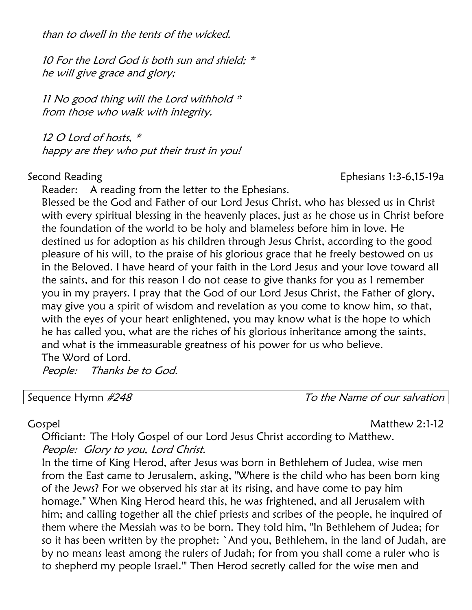than to dwell in the tents of the wicked.

10 For the Lord God is both sun and shield; \* he will give grace and glory;

11 No good thing will the Lord withhold \* from those who walk with integrity.

12 O Lord of hosts,  $*$ happy are they who put their trust in you!

Second Reading **Ephesians 1:3-6,15-19a** 

Reader: A reading from the letter to the Ephesians.

Blessed be the God and Father of our Lord Jesus Christ, who has blessed us in Christ with every spiritual blessing in the heavenly places, just as he chose us in Christ before the foundation of the world to be holy and blameless before him in love. He destined us for adoption as his children through Jesus Christ, according to the good pleasure of his will, to the praise of his glorious grace that he freely bestowed on us in the Beloved. I have heard of your faith in the Lord Jesus and your love toward all the saints, and for this reason I do not cease to give thanks for you as I remember you in my prayers. I pray that the God of our Lord Jesus Christ, the Father of glory, may give you a spirit of wisdom and revelation as you come to know him, so that, with the eyes of your heart enlightened, you may know what is the hope to which he has called you, what are the riches of his glorious inheritance among the saints, and what is the immeasurable greatness of his power for us who believe. The Word of Lord.

People: Thanks be to God.

Gospel **Matthew 2:1-12** 

Officiant: The Holy Gospel of our Lord Jesus Christ according to Matthew. People: Glory to you, Lord Christ.

In the time of King Herod, after Jesus was born in Bethlehem of Judea, wise men from the East came to Jerusalem, asking, "Where is the child who has been born king of the Jews? For we observed his star at its rising, and have come to pay him homage." When King Herod heard this, he was frightened, and all Jerusalem with him; and calling together all the chief priests and scribes of the people, he inquired of them where the Messiah was to be born. They told him, "In Bethlehem of Judea; for so it has been written by the prophet: `And you, Bethlehem, in the land of Judah, are by no means least among the rulers of Judah; for from you shall come a ruler who is to shepherd my people Israel.'" Then Herod secretly called for the wise men and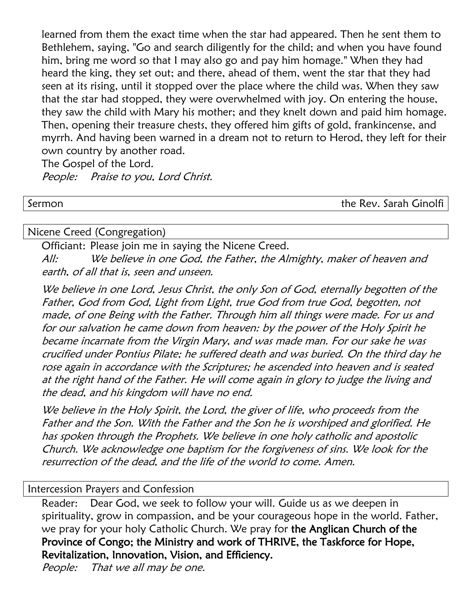learned from them the exact time when the star had appeared. Then he sent them to Bethlehem, saying, "Go and search diligently for the child; and when you have found him, bring me word so that I may also go and pay him homage." When they had heard the king, they set out; and there, ahead of them, went the star that they had seen at its rising, until it stopped over the place where the child was. When they saw that the star had stopped, they were overwhelmed with joy. On entering the house, they saw the child with Mary his mother; and they knelt down and paid him homage. Then, opening their treasure chests, they offered him gifts of gold, frankincense, and myrrh. And having been warned in a dream not to return to Herod, they left for their own country by another road.

The Gospel of the Lord. People: Praise to you, Lord Christ.

Sermon the Rev. Sarah Ginolfi

#### Nicene Creed (Congregation)

Officiant: Please join me in saying the Nicene Creed.

All: We believe in one God, the Father, the Almighty, maker of heaven and earth, of all that is, seen and unseen.

We believe in one Lord, Jesus Christ, the only Son of God, eternally begotten of the Father, God from God, Light from Light, true God from true God, begotten, not made, of one Being with the Father. Through him all things were made. For us and for our salvation he came down from heaven: by the power of the Holy Spirit he became incarnate from the Virgin Mary, and was made man. For our sake he was crucified under Pontius Pilate; he suffered death and was buried. On the third day he rose again in accordance with the Scriptures; he ascended into heaven and is seated at the right hand of the Father. He will come again in glory to judge the living and the dead, and his kingdom will have no end.

We believe in the Holy Spirit, the Lord, the giver of life, who proceeds from the Father and the Son. With the Father and the Son he is worshiped and glorified. He has spoken through the Prophets. We believe in one holy catholic and apostolic Church. We acknowledge one baptism for the forgiveness of sins. We look for the resurrection of the dead, and the life of the world to come. Amen.

#### Intercession Prayers and Confession

Reader: Dear God, we seek to follow your will. Guide us as we deepen in spirituality, grow in compassion, and be your courageous hope in the world. Father, we pray for your holy Catholic Church. We pray for the Anglican Church of the Province of Congo; the Ministry and work of THRIVE, the Taskforce for Hope, Revitalization, Innovation, Vision, and Efficiency.

People: That we all may be one.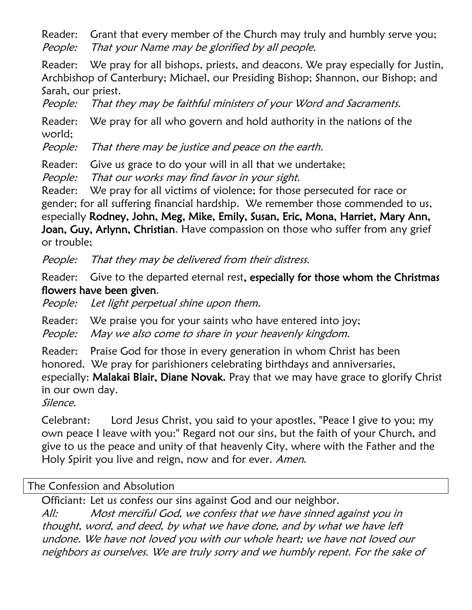Reader: Grant that every member of the Church may truly and humbly serve you; People: That your Name may be glorified by all people.

Reader: We pray for all bishops, priests, and deacons. We pray especially for Justin, Archbishop of Canterbury; Michael, our Presiding Bishop; Shannon, our Bishop; and Sarah, our priest.

People: That they may be faithful ministers of your Word and Sacraments.

Reader: We pray for all who govern and hold authority in the nations of the world;

People: That there may be justice and peace on the earth.

Reader: Give us grace to do your will in all that we undertake;

People: That our works may find favor in your sight.

Reader: We pray for all victims of violence; for those persecuted for race or gender; for all suffering financial hardship. We remember those commended to us, especially Rodney, John, Meg, Mike, Emily, Susan, Eric, Mona, Harriet, Mary Ann, Joan, Guy, Arlynn, Christian. Have compassion on those who suffer from any grief or trouble;

People: That they may be delivered from their distress.

Reader: Give to the departed eternal rest, especially for those whom the Christmas flowers have been given.

People: Let light perpetual shine upon them.

Reader: We praise you for your saints who have entered into joy;

People: May we also come to share in your heavenly kingdom.

Reader: Praise God for those in every generation in whom Christ has been honored. We pray for parishioners celebrating birthdays and anniversaries, especially: Malakai Blair, Diane Novak. Pray that we may have grace to glorify Christ in our own day.

Silence.

Celebrant: Lord Jesus Christ, you said to your apostles, "Peace I give to you; my own peace I leave with you:" Regard not our sins, but the faith of your Church, and give to us the peace and unity of that heavenly City, where with the Father and the Holy Spirit you live and reign, now and for ever. Amen.

#### The Confession and Absolution

Officiant: Let us confess our sins against God and our neighbor.

All: Most merciful God, we confess that we have sinned against you in thought, word, and deed, by what we have done, and by what we have left undone. We have not loved you with our whole heart; we have not loved our neighbors as ourselves. We are truly sorry and we humbly repent. For the sake of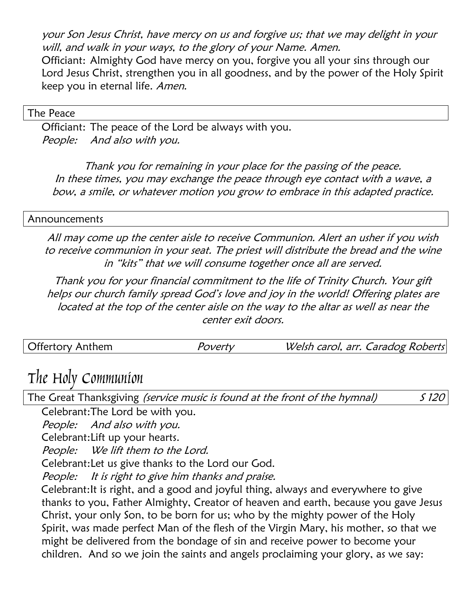your Son Jesus Christ, have mercy on us and forgive us; that we may delight in your will, and walk in your ways, to the glory of your Name. Amen.

Officiant: Almighty God have mercy on you, forgive you all your sins through our Lord Jesus Christ, strengthen you in all goodness, and by the power of the Holy Spirit keep you in eternal life. Amen.

#### The Peace

Officiant: The peace of the Lord be always with you. People: And also with you.

Thank you for remaining in your place for the passing of the peace. In these times, you may exchange the peace through eye contact with a wave, a bow, a smile, or whatever motion you grow to embrace in this adapted practice.

Announcements

All may come up the center aisle to receive Communion. Alert an usher if you wish to receive communion in your seat. The priest will distribute the bread and the wine in "kits" that we will consume together once all are served.

Thank you for your financial commitment to the life of Trinity Church. Your gift helps our church family spread God's love and joy in the world! Offering plates are located at the top of the center aisle on the way to the altar as well as near the center exit doors.

|  | Offertory Anthem | Poverty | Welsh carol, arr. Caradog Roberts |
|--|------------------|---------|-----------------------------------|
|--|------------------|---------|-----------------------------------|

### The Holy Communion

The Great Thanksgiving *(service music is found at the front of the hymnal)* S 120

Celebrant:The Lord be with you.

People: And also with you.

Celebrant:Lift up your hearts.

People: We lift them to the Lord.

Celebrant:Let us give thanks to the Lord our God.

People: It is right to give him thanks and praise.

Celebrant:It is right, and a good and joyful thing, always and everywhere to give thanks to you, Father Almighty, Creator of heaven and earth, because you gave Jesus Christ, your only Son, to be born for us; who by the mighty power of the Holy Spirit, was made perfect Man of the flesh of the Virgin Mary, his mother, so that we might be delivered from the bondage of sin and receive power to become your children. And so we join the saints and angels proclaiming your glory, as we say: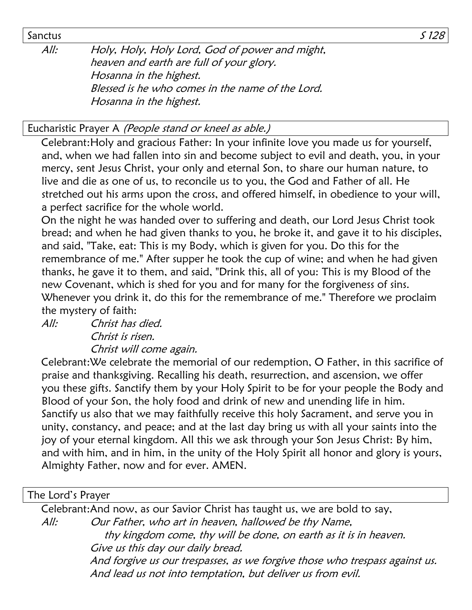Sanctus  $S$  128

All: Holy, Holy, Holy Lord, God of power and might, heaven and earth are full of your glory. Hosanna in the highest. Blessed is he who comes in the name of the Lord. Hosanna in the highest.

### Eucharistic Prayer A (People stand or kneel as able.)

Celebrant:Holy and gracious Father: In your infinite love you made us for yourself, and, when we had fallen into sin and become subject to evil and death, you, in your mercy, sent Jesus Christ, your only and eternal Son, to share our human nature, to live and die as one of us, to reconcile us to you, the God and Father of all. He stretched out his arms upon the cross, and offered himself, in obedience to your will, a perfect sacrifice for the whole world.

On the night he was handed over to suffering and death, our Lord Jesus Christ took bread; and when he had given thanks to you, he broke it, and gave it to his disciples, and said, "Take, eat: This is my Body, which is given for you. Do this for the remembrance of me." After supper he took the cup of wine; and when he had given thanks, he gave it to them, and said, "Drink this, all of you: This is my Blood of the new Covenant, which is shed for you and for many for the forgiveness of sins. Whenever you drink it, do this for the remembrance of me." Therefore we proclaim the mystery of faith:

All: Christ has died.

Christ is risen.

Christ will come again.

Celebrant:We celebrate the memorial of our redemption, O Father, in this sacrifice of praise and thanksgiving. Recalling his death, resurrection, and ascension, we offer you these gifts. Sanctify them by your Holy Spirit to be for your people the Body and Blood of your Son, the holy food and drink of new and unending life in him. Sanctify us also that we may faithfully receive this holy Sacrament, and serve you in unity, constancy, and peace; and at the last day bring us with all your saints into the joy of your eternal kingdom. All this we ask through your Son Jesus Christ: By him, and with him, and in him, in the unity of the Holy Spirit all honor and glory is yours, Almighty Father, now and for ever. AMEN.

The Lord's Prayer

Celebrant:And now, as our Savior Christ has taught us, we are bold to say,

All: Our Father, who art in heaven, hallowed be thy Name, thy kingdom come, thy will be done, on earth as it is in heaven. Give us this day our daily bread.

And forgive us our trespasses, as we forgive those who trespass against us. And lead us not into temptation, but deliver us from evil.